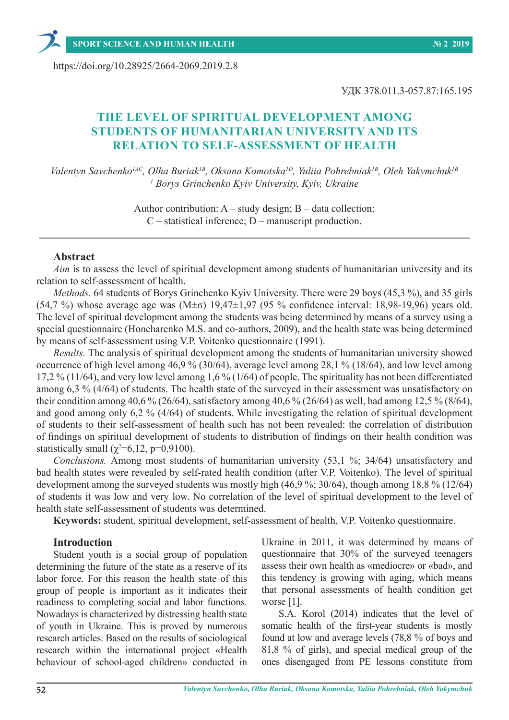https://doi.org/10.28925/2664-2069.2019.2.8

УДК 378.011.3-057.87:165.195

# **THE LEVEL OF SPIRITUAL DEVELOPMENT AMONG STUDENTS OF HUMANITARIAN UNIVERSITY AND ITS RELATION TO SELF-ASSESSMENT OF HEALTH**

*Valentyn Savchenko1АС, Olha Buriak1В, Oksana Komotska1D, Yuliia Pohrebniak1В, Oleh Yakymchuk1В 1 Borys Grinchenko Kyiv University, Kyiv, Ukraine*

> Author contribution:  $A - study$  design;  $B - data$  collection; C – statistical inference; D – manuscript production.

**\_\_\_\_\_\_\_\_\_\_\_\_\_\_\_\_\_\_\_\_\_\_\_\_\_\_\_\_\_\_\_\_\_\_\_\_\_\_\_\_\_\_\_\_\_\_\_\_\_\_\_\_\_\_\_\_\_\_\_\_\_\_\_\_\_\_\_\_\_\_\_\_\_\_\_\_\_\_\_\_\_\_\_\_**

### **Abstract**

*Aim* is to assess the level of spiritual development among students of humanitarian university and its relation to self-assessment of health.

*Methods.* 64 students of Borys Grinchenko Kyiv University. There were 29 boys (45,3 %), and 35 girls (54,7 %) whose average age was  $(M\pm\sigma)$  19,47 $\pm$ 1,97 (95 % confidence interval: 18,98-19,96) years old. The level of spiritual development among the students was being determined by means of a survey using a special questionnaire (Honcharenko M.S. and co-authors, 2009), and the health state was being determined by means of self-assessment using V.P. Voitenko questionnaire (1991).

*Results.* The analysis of spiritual development among the students of humanitarian university showed occurrence of high level among 46,9 % (30/64), average level among 28,1 % (18/64), and low level among 17,2 % (11/64), and very low level among 1,6 % (1/64) of people. The spirituality has not been differentiated among 6,3 % (4/64) of students. The health state of the surveyed in their assessment was unsatisfactory on their condition among 40,6 % (26/64), satisfactory among 40,6 % (26/64) as well, bad among 12,5 % (8/64), and good among only 6,2 % (4/64) of students. While investigating the relation of spiritual development of students to their self-assessment of health such has not been revealed: the correlation of distribution of findings on spiritual development of students to distribution of findings on their health condition was statistically small ( $\chi^2$ =6,12, p=0,9100).

*Conclusions.* Among most students of humanitarian university (53,1 %; 34/64) unsatisfactory and bad health states were revealed by self-rated health condition (after V.P. Voitenko). The level of spiritual development among the surveyed students was mostly high (46,9 %; 30/64), though among 18,8 % (12/64) of students it was low and very low. No correlation of the level of spiritual development to the level of health state self-assessment of students was determined.

**Keywords:** student, spiritual development, self-assessment of health, V.P. Voitenko questionnaire.

### **Introduction**

Student youth is a social group of population determining the future of the state as a reserve of its labor force. For this reason the health state of this group of people is important as it indicates their readiness to completing social and labor functions. Nowadays is characterized by distressing health state of youth in Ukraine. This is proved by numerous research articles. Based on the results of sociological research within the international project «Health behaviour of school-aged children» conducted in

Ukraine in 2011, it was determined by means of questionnaire that 30% of the surveyed teenagers assess their own health as «mediocre» or «bad», and this tendency is growing with aging, which means that personal assessments of health condition get worse [1].

S.A. Korol (2014) indicates that the level of somatic health of the first-year students is mostly found at low and average levels (78,8 % of boys and 81,8 % of girls), and special medical group of the ones disengaged from PE lessons constitute from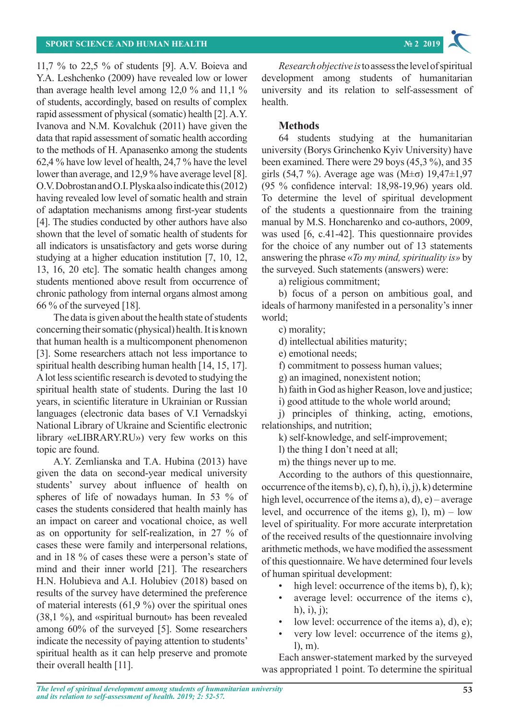11,7 % to 22,5 % of students [9]. A.V. Boieva and Y.A. Leshchenko (2009) have revealed low or lower than average health level among 12,0 % and 11,1 % of students, accordingly, based on results of complex rapid assessment of physical (somatic) health [2]. A.Y. Ivanova and N.M. Kovalchuk (2011) have given the data that rapid assessment of somatic health according to the methods of H. Apanasenko among the students 62,4 % have low level of health, 24,7 % have the level lower than average, and 12,9 % have average level [8]. O.V. Dobrostan and O.I. Plyska also indicate this (2012) having revealed low level of somatic health and strain of adaptation mechanisms among first-year students [4]. The studies conducted by other authors have also shown that the level of somatic health of students for all indicators is unsatisfactory and gets worse during studying at a higher education institution [7, 10, 12, 13, 16, 20 etc]. The somatic health changes among students mentioned above result from occurrence of chronic pathology from internal organs almost among 66 % of the surveyed [18].

The data is given about the health state of students concerning their somatic (physical) health. It is known that human health is a multicomponent phenomenon [3]. Some researchers attach not less importance to spiritual health describing human health [14, 15, 17]. A lot less scientific research is devoted to studying the spiritual health state of students. During the last 10 years, in scientific literature in Ukrainian or Russian languages (electronic data bases of V.I Vernadskyi National Library of Ukraine and Scientific electronic library «eLIBRARY.RU») very few works on this topic are found.

A.Y. Zemlianska and T.A. Hubina (2013) have given the data on second-year medical university students' survey about influence of health on spheres of life of nowadays human. In 53 % of cases the students considered that health mainly has an impact on career and vocational choice, as well as on opportunity for self-realization, in 27 % of cases these were family and interpersonal relations, and in 18 % of cases these were a person's state of mind and their inner world [21]. The researchers H.N. Holubieva and A.I. Holubiev (2018) based on results of the survey have determined the preference of material interests  $(61,9\%)$  over the spiritual ones (38,1 %), and «spiritual burnout» has been revealed among 60% of the surveyed [5]. Some researchers indicate the necessity of paying attention to students' spiritual health as it can help preserve and promote their overall health [11].

*Research objective is* to assess the level of spiritual development among students of humanitarian university and its relation to self-assessment of health.

# **Methods**

64 students studying at the humanitarian university (Borys Grinchenko Kyiv University) have been examined. There were 29 boys (45,3 %), and 35 girls (54,7 %). Average age was (M $\pm$ σ) 19,47 $\pm$ 1,97 (95 % confidence interval: 18,98-19,96) years old. To determine the level of spiritual development of the students a questionnaire from the training manual by M.S. Honcharenko and co-authors, 2009, was used [6, c.41-42]. This questionnaire provides for the choice of any number out of 13 statements answering the phrase «*To my mind, spirituality is»* by the surveyed. Such statements (answers) were:

a) religious commitment;

b) focus of a person on ambitious goal, and ideals of harmony manifested in a personality's inner world;

c) morality;

d) intellectual abilities maturity;

e) emotional needs;

f) commitment to possess human values;

g) an imagined, nonexistent notion;

h) faith in God as higher Reason, love and justice;

i) good attitude to the whole world around;

j) principles of thinking, acting, emotions, relationships, and nutrition;

k) self-knowledge, and self-improvement;

l) the thing I don't need at all;

m) the things never up to me.

According to the authors of this questionnaire, occurrence of the items b), c), f), h), i), j), k) determine high level, occurrence of the items a), d), e) – average level, and occurrence of the items g),  $l$ ), m) – low level of spirituality. For more accurate interpretation of the received results of the questionnaire involving arithmetic methods, we have modified the assessment of this questionnaire. We have determined four levels of human spiritual development:

- high level: occurrence of the items b), f), k);
- average level: occurrence of the items c), h),  $i)$ ,  $j)$ ;
- low level: occurrence of the items a), d), e);
- very low level: occurrence of the items g), l), m).

Each answer-statement marked by the surveyed was appropriated 1 point. To determine the spiritual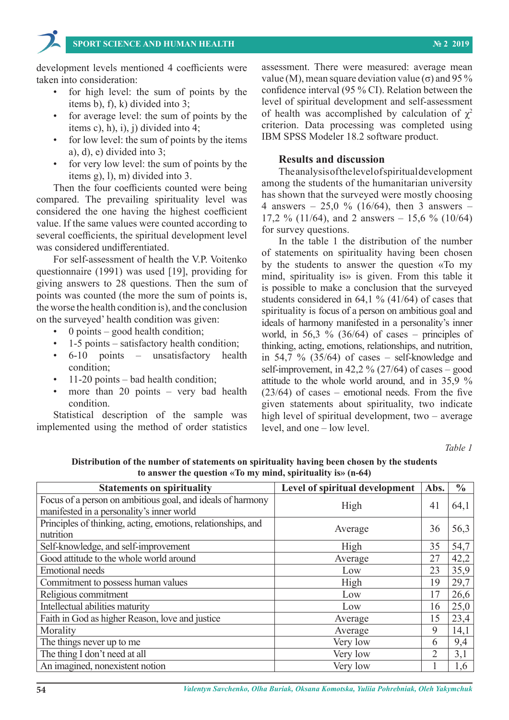development levels mentioned 4 coefficients were taken into consideration:

- for high level: the sum of points by the items b), f), k) divided into 3;
- for average level: the sum of points by the items c), h), i), j) divided into 4;
- for low level: the sum of points by the items a), d), e) divided into 3;
- for very low level: the sum of points by the items g), l), m) divided into 3.

Then the four coefficients counted were being compared. The prevailing spirituality level was considered the one having the highest coefficient value. If the same values were counted according to several coefficients, the spiritual development level was considered undifferentiated.

For self-assessment of health the V.P. Voitenko questionnaire (1991) was used [19], providing for giving answers to 28 questions. Then the sum of points was counted (the more the sum of points is, the worse the health condition is), and the conclusion on the surveyed' health condition was given:

- $\theta$  points good health condition;
- 1-5 points satisfactory health condition;
- 6-10 points unsatisfactory health condition;
- 11-20 points bad health condition;
- more than  $20$  points very bad health condition.

Statistical description of the sample was implemented using the method of order statistics

assessment. There were measured: average mean value (M), mean square deviation value ( $\sigma$ ) and 95 % confidence interval (95 % CI). Relation between the level of spiritual development and self-assessment of health was accomplished by calculation of  $\chi^2$ criterion. Data processing was completed using IBM SPSS Modeler 18.2 software product.

### **Results and discussion**

The analysis of the level of spiritual development among the students of the humanitarian university has shown that the surveyed were mostly choosing 4 answers – 25,0 % (16/64), then 3 answers – 17,2 % (11/64), and 2 answers – 15,6 % (10/64) for survey questions.

In the table 1 the distribution of the number of statements on spirituality having been chosen by the students to answer the question «To my mind, spirituality is» is given. From this table it is possible to make a conclusion that the surveyed students considered in 64,1 % (41/64) of cases that spirituality is focus of a person on ambitious goal and ideals of harmony manifested in a personality's inner world, in 56,3 %  $(36/64)$  of cases – principles of thinking, acting, emotions, relationships, and nutrition, in 54,7 %  $(35/64)$  of cases – self-knowledge and self-improvement, in 42,2 %  $(27/64)$  of cases – good attitude to the whole world around, and in 35,9 % (23/64) of cases – emotional needs. From the five given statements about spirituality, two indicate high level of spiritual development, two – average level, and one – low level.

*Table 1*

| $\mathbf{u}$ with the question with $\mathbf{u}$ minutes spin remainly $\mathbf{u}$ , $\mathbf{u}$ or $\mathbf{u}$ |                                |                |               |
|--------------------------------------------------------------------------------------------------------------------|--------------------------------|----------------|---------------|
| <b>Statements on spirituality</b>                                                                                  | Level of spiritual development | Abs.           | $\frac{6}{6}$ |
| Focus of a person on ambitious goal, and ideals of harmony                                                         | High                           | 41             | 64,1          |
| manifested in a personality's inner world                                                                          |                                |                |               |
| Principles of thinking, acting, emotions, relationships, and                                                       | Average                        | 36             | 56,3          |
| nutrition                                                                                                          |                                |                |               |
| Self-knowledge, and self-improvement                                                                               | High                           | 35             | 54,7          |
| Good attitude to the whole world around                                                                            | Average                        | 27             | 42,2          |
| <b>Emotional</b> needs                                                                                             | Low                            | 23             | 35,9          |
| Commitment to possess human values                                                                                 | High                           | 19             | 29,7          |
| Religious commitment                                                                                               | Low                            | 17             | 26,6          |
| Intellectual abilities maturity                                                                                    | Low                            | 16             | 25,0          |
| Faith in God as higher Reason, love and justice                                                                    | Average                        | 15             | 23,4          |
| Morality                                                                                                           | Average                        | 9              | 14,1          |
| The things never up to me                                                                                          | Very low                       | 6              | 9,4           |
| The thing I don't need at all                                                                                      | Very low                       | $\overline{2}$ | 3,1           |
| An imagined, nonexistent notion                                                                                    | Very low                       |                | 1,6           |

**Distribution of the number of statements on spirituality having been chosen by the students to answer the question «To my mind, spirituality is» (n-64)**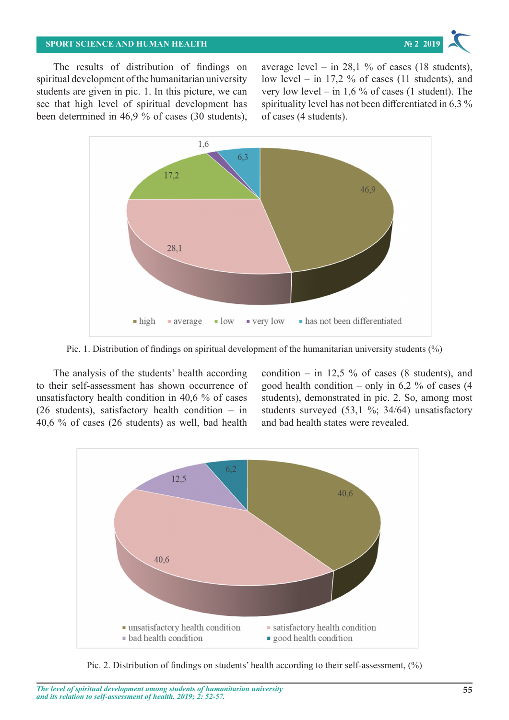#### **SPORT SCIENCE AND HUMAN HEALTH № 2 2019** The thing I domain  $\mathbb{Z}$  is a set at all Very low 2  $\mathbb{Z}$  such a set at all Very low 2  $\mathbb{Z}$



The results of distribution of findings on spiritual development of the humanitarian university students are given in pic. 1. In this picture, we can very low level  $-$  in 1,6 % of cases (1 student see that high level of spiritual development has spirituality level has not been differentiated been determined in 46,9 % of cases (30 students), of cases (4 students).  $\frac{1}{2}$ spirituality and  $\frac{1}{2}$   $\frac{1}{2}$  of  $\frac{1}{2}$   $\frac{1}{2}$   $\frac{1}{2}$   $\frac{1}{2}$   $\frac{1}{2}$   $\frac{1}{2}$   $\frac{1}{2}$   $\frac{1}{2}$   $\frac{1}{2}$   $\frac{1}{2}$   $\frac{1}{2}$   $\frac{1}{2}$   $\frac{1}{2}$   $\frac{1}{2}$   $\frac{1}{2}$   $\frac{1}{2}$   $\frac{1}{2}$   $\$ 

average level – in 28,1 % of cases (18 students), elopment of the humanitarian university low level – in 17,2 % of cases (11 students), and very low level – in 1,6 % of cases (1 student). The spirituality level has not been differentiated in 6,3 % of cases (4 students).



Pic. 1. Distribution of findings on spiritual development of the humanitarian university students (%) Pic. 1. Distribution of findings on spiritual development of the humanitarian university students (%)

to their self-assessment has shown occurrence of good health condition – only in 6,2 % of unsatisfactory health condition in 40,6 % of cases students), demonstrated in pic. 2. So, am The analysis of the students' health according (26 students), satisfactory health condition – in 40,6 % of cases (26 students) as well, bad health and bad health states were revealed.

lysis of the students' health according condition – in 12,5 % of cases (8 students), and good health condition – only in  $6.2 \%$  of cases (4) students), demonstrated in pic. 2. So, among most students surveyed (53,1 %; 34/64) unsatisfactory and bad health states were revealed.



Pic. 2. Distribution of findings on students' health according to their self-assessment,  $(\%)$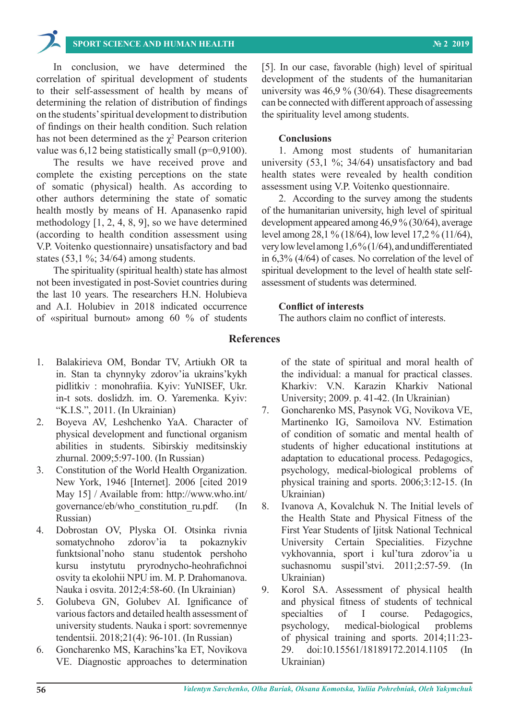## **SPORT SCIENCE AND HUMAN HEALTH № 2 2019**

In conclusion, we have determined the correlation of spiritual development of students to their self-assessment of health by means of determining the relation of distribution of findings on the students' spiritual development to distribution of findings on their health condition. Such relation has not been determined as the  $\chi^2$  Pearson criterion value was  $6,12$  being statistically small ( $p=0.9100$ ).

The results we have received prove and complete the existing perceptions on the state of somatic (physical) health. As according to other authors determining the state of somatic health mostly by means of H. Apanasenko rapid methodology [1, 2, 4, 8, 9], so we have determined (according to health condition assessment using V.P. Voitenko questionnaire) unsatisfactory and bad states (53,1 %; 34/64) among students.

The spirituality (spiritual health) state has almost not been investigated in post-Soviet countries during the last 10 years. The researchers H.N. Holubieva and A.I. Holubiev in 2018 indicated occurrence of «spiritual burnout» among 60 % of students

[5]. In our case, favorable (high) level of spiritual development of the students of the humanitarian university was 46,9 % (30/64). These disagreements can be connected with different approach of assessing the spirituality level among students.

#### **Conclusions**

1. Among most students of humanitarian university (53,1 %; 34/64) unsatisfactory and bad health states were revealed by health condition assessment using V.P. Voitenko questionnaire.

2. According to the survey among the students of the humanitarian university, high level of spiritual development appeared among 46,9 % (30/64), average level among 28,1 % (18/64), low level 17,2 % (11/64), very low level among 1,6% (1/64), and undifferentiated in 6,3% (4/64) of cases. No correlation of the level of spiritual development to the level of health state selfassessment of students was determined.

## **Conflict of interests**

The authors claim no conflict of interests.

### **References**

- 1. Balakirieva OM, Bondar TV, Artiukh OR ta in. Stan ta chynnyky zdorov'ia ukrains'kykh pidlitkiv : monohrafiia. Kyiv: YuNISEF, Ukr. in-t sots. doslidzh. im. O. Yaremenka. Kyiv: "K.I.S.", 2011. (In Ukrainian)
- 2. Boyeva AV, Leshchenko YaA. Character of physical development and functional organism abilities in students. Sibirskiy meditsinskiy zhurnal. 2009;5:97-100. (In Russian)
- 3. Constitution of the World Health Organization. New York, 1946 [Internet]. 2006 [cited 2019 May 15] / Available from: http://www.who.int/ governance/eb/who\_constitution\_ru.pdf. (In Russian)
- 4. Dobrostan OV, Plyska OI. Otsinka rivnia somatychnoho zdorov'ia ta pokaznykiv funktsional'noho stanu studentok pershoho kursu instytutu pryrodnycho-heohrafichnoi osvity ta ekolohii NPU im. M. P. Drahomanova. Nauka i osvita. 2012;4:58-60. (In Ukrainian)
- 5. Golubeva GN, Golubev AI. Ignificance of various factors and detailed health assessment of university students. Nauka i sport: sovremennye tendentsii. 2018;21(4): 96-101. (In Russian)
- 6. Goncharenko MS, Karachins'ka ET, Novіkova VЕ. Diagnostic approaches to determination

of the state of spiritual and moral health of the individual: a manual for practical classes. Kharkiv: V.N. Karazin Kharkiv National University; 2009. p. 41-42. (In Ukrainian)

- 7. Goncharenko MS, Pasynok VG, Novikova VE, Martinenko IG, Samoilova NV. Estimation of condition of somatic and mental health of students of higher educational institutions at adaptation to educational process. Pedagogics, psychology, medical-biological problems of physical training and sports. 2006;3:12-15. (In Ukrainian)
- 8. Ivanova А, Kovalchuk N. The Initial levels of the Health State and Physical Fitness of the First Year Students of Ijitsk National Technical University Certain Specialities. Fizychne vykhovannia, sport i kul'tura zdorov'ia u suchasnomu suspil'stvi. 2011;2:57-59. (In Ukrainian)
- 9. Kоrol SA. Assessment of physical health and physical fitness of students of technical specialties of I course. Pedagogics, psychology, medical-biological problems of physical training and sports. 2014;11:23- 29. doi:10.15561/18189172.2014.1105 (In Ukrainian)